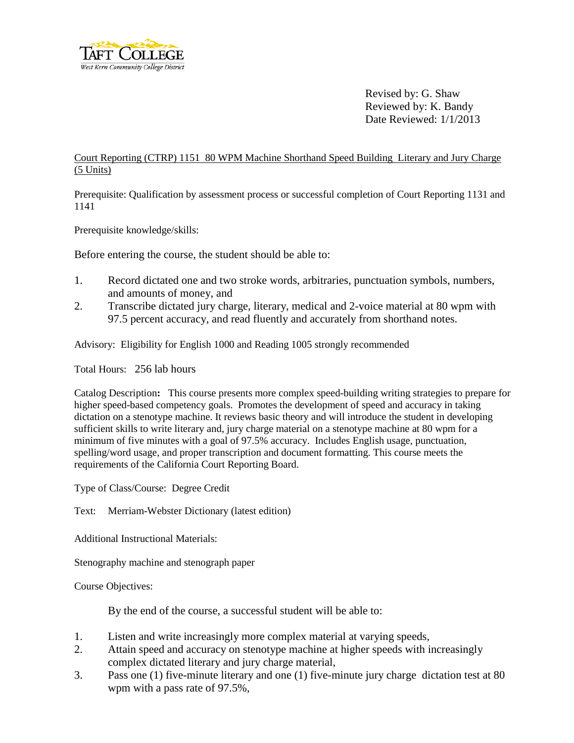

Revised by: G. Shaw Reviewed by: K. Bandy Date Reviewed: 1/1/2013

## Court Reporting (CTRP) 1151 80 WPM Machine Shorthand Speed Building Literary and Jury Charge (5 Units)

Prerequisite: Qualification by assessment process or successful completion of Court Reporting 1131 and 1141

Prerequisite knowledge/skills:

Before entering the course, the student should be able to:

- 1. Record dictated one and two stroke words, arbitraries, punctuation symbols, numbers, and amounts of money, and
- 2. Transcribe dictated jury charge, literary, medical and 2-voice material at 80 wpm with 97.5 percent accuracy, and read fluently and accurately from shorthand notes.

Advisory: Eligibility for English 1000 and Reading 1005 strongly recommended

Total Hours: 256 lab hours

Catalog Description**:** This course presents more complex speed-building writing strategies to prepare for higher speed-based competency goals. Promotes the development of speed and accuracy in taking dictation on a stenotype machine. It reviews basic theory and will introduce the student in developing sufficient skills to write literary and, jury charge material on a stenotype machine at 80 wpm for a minimum of five minutes with a goal of 97.5% accuracy. Includes English usage, punctuation, spelling/word usage, and proper transcription and document formatting. This course meets the requirements of the California Court Reporting Board.

Type of Class/Course: Degree Credit

Text: Merriam-Webster Dictionary (latest edition)

Additional Instructional Materials:

Stenography machine and stenograph paper

Course Objectives:

By the end of the course, a successful student will be able to:

- 1. Listen and write increasingly more complex material at varying speeds,
- 2. Attain speed and accuracy on stenotype machine at higher speeds with increasingly complex dictated literary and jury charge material,
- 3. Pass one (1) five-minute literary and one (1) five-minute jury charge dictation test at 80 wpm with a pass rate of 97.5%,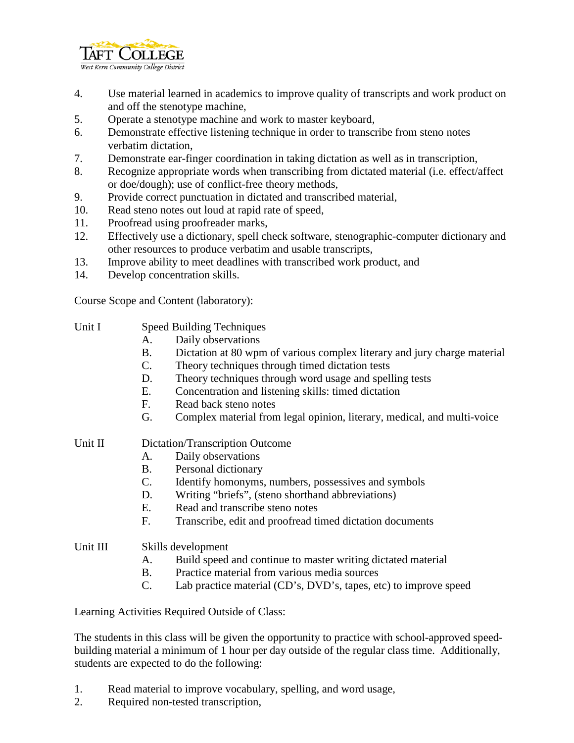

- 4. Use material learned in academics to improve quality of transcripts and work product on and off the stenotype machine,
- 5. Operate a stenotype machine and work to master keyboard,
- 6. Demonstrate effective listening technique in order to transcribe from steno notes verbatim dictation,
- 7. Demonstrate ear-finger coordination in taking dictation as well as in transcription,
- 8. Recognize appropriate words when transcribing from dictated material (i.e. effect/affect or doe/dough); use of conflict-free theory methods,
- 9. Provide correct punctuation in dictated and transcribed material,
- 10. Read steno notes out loud at rapid rate of speed,
- 11. Proofread using proofreader marks,
- 12. Effectively use a dictionary, spell check software, stenographic-computer dictionary and other resources to produce verbatim and usable transcripts,
- 13. Improve ability to meet deadlines with transcribed work product, and
- 14. Develop concentration skills.

Course Scope and Content (laboratory):

- Unit I Speed Building Techniques
	- A. Daily observations
	- B. Dictation at 80 wpm of various complex literary and jury charge material
	- C. Theory techniques through timed dictation tests
	- D. Theory techniques through word usage and spelling tests
	- E. Concentration and listening skills: timed dictation
	- F. Read back steno notes
	- G. Complex material from legal opinion, literary, medical, and multi-voice

## Unit II Dictation/Transcription Outcome

- A. Daily observations
- B. Personal dictionary
- C. Identify homonyms, numbers, possessives and symbols
- D. Writing "briefs", (steno shorthand abbreviations)
- E. Read and transcribe steno notes
- F. Transcribe, edit and proofread timed dictation documents

## Unit III Skills development

- A. Build speed and continue to master writing dictated material
- B. Practice material from various media sources
- C. Lab practice material (CD's, DVD's, tapes, etc) to improve speed

Learning Activities Required Outside of Class:

The students in this class will be given the opportunity to practice with school-approved speedbuilding material a minimum of 1 hour per day outside of the regular class time. Additionally, students are expected to do the following:

- 1. Read material to improve vocabulary, spelling, and word usage,
- 2. Required non-tested transcription,